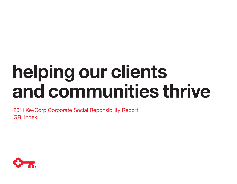## helping our clients and communities thrive

2011 KeyCorp Corporate Social Reponsibility Report GRI Index

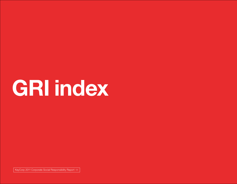KeyCorp 2011 Corporate Social Responsibility Report <<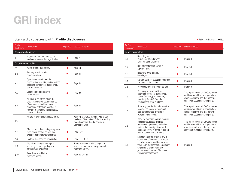#### Standard disclosures part 1: **Profile disclosures** and **Fully limit of Partially limit in Partially limit of Partially limit of Partially limit of Notional Control of Partially limit of Notional Control of Partially limit**

| Profile<br><b>Disclosure</b> | <b>Description</b>                                                                                                                                                                                            | Reported | Location in report                                                                                                                           |
|------------------------------|---------------------------------------------------------------------------------------------------------------------------------------------------------------------------------------------------------------|----------|----------------------------------------------------------------------------------------------------------------------------------------------|
| Strategy and analysis        |                                                                                                                                                                                                               |          |                                                                                                                                              |
| 1.1                          | Statement from the most senior<br>decision-maker of the organization.                                                                                                                                         |          | Page 4                                                                                                                                       |
| Organizational profile       |                                                                                                                                                                                                               |          |                                                                                                                                              |
| 2.1                          | Name of the organization.                                                                                                                                                                                     |          | KeyCorp                                                                                                                                      |
| 2.2                          | Primary brands, products,<br>and/or services.                                                                                                                                                                 |          | Page 11                                                                                                                                      |
| 2.3                          | Operational structure of the<br>organization, including main divisions,<br>operating companies, subsidiaries,<br>and joint ventures.                                                                          |          | Page 11                                                                                                                                      |
| 2.4                          | Location of organization's<br>headquarters.                                                                                                                                                                   |          | Page 11                                                                                                                                      |
| 2.5                          | Number of countries where the<br>organization operates, and names<br>of countries with either major<br>operations or that are specifically<br>relevant to the sustainability issues<br>covered in the report. |          | Page 11                                                                                                                                      |
| 2.6                          | Nature of ownership and legal form.                                                                                                                                                                           |          | KeyCorp was organized in 1958 under<br>the laws of the state of Ohio. It is publicly<br>traded company, headquartered in<br>Cleveland, Ohio. |
| 2.7                          | Markets served (including geographic<br>breakdown, sectors served, and<br>types of customers/beneficiaries).                                                                                                  |          | Page 8, 11                                                                                                                                   |
| 2.8                          | Scale of the reporting organization.                                                                                                                                                                          |          | Page 6, 7, 8, 29                                                                                                                             |
| 2.9                          | Significant changes during the<br>reporting period regarding size,<br>structure, or ownership.                                                                                                                |          | There were no material changes to<br>size, structure or ownership during the<br>reporting period.                                            |
| 2.10                         | Awards received in the<br>reporting period.                                                                                                                                                                   |          | Page 17, 25, 37                                                                                                                              |

| Profile<br><b>Disclosure</b> | <b>Description</b>                                                                                                                                                                                                                                        | Reported | Location in report                                                                                                                                         |
|------------------------------|-----------------------------------------------------------------------------------------------------------------------------------------------------------------------------------------------------------------------------------------------------------|----------|------------------------------------------------------------------------------------------------------------------------------------------------------------|
| Report parameters            |                                                                                                                                                                                                                                                           |          |                                                                                                                                                            |
| 3.1                          | Reporting period<br>(e.g., fiscal/calendar year)<br>for information provided.                                                                                                                                                                             |          | Page 59                                                                                                                                                    |
| 3.2                          | Date of most recent previous<br>report (if any).                                                                                                                                                                                                          |          | Page 59                                                                                                                                                    |
| 3.3                          | Reporting cycle (annual,<br>biennial, etc.)                                                                                                                                                                                                               |          | Page 59                                                                                                                                                    |
| 3.4                          | Contact point for questions regarding<br>the report or its contents.                                                                                                                                                                                      |          | Page 59                                                                                                                                                    |
| 3.5                          | Process for defining report content.                                                                                                                                                                                                                      |          | Page 59                                                                                                                                                    |
| 3.6                          | Boundary of the report (e.g.,<br>countries, divisions, subsidiaries,<br>leased facilities, joint ventures,<br>suppliers). See GRI Boundary<br>Protocol for further guidance.                                                                              |          | This report covers all KeyCorp owned<br>entities over which the organization<br>exercises control and that generate<br>significant sustainability impacts. |
| 3.7                          | State any specific limitations on the<br>scope or boundary of the report<br>(see completeness principle for<br>explanation of scope).                                                                                                                     |          | This report covers all KeyCorp owned<br>entities over which the organization<br>exercises control and that generate<br>significant sustainability impacts. |
| 3.8                          | Basis for reporting on joint ventures,<br>subsidiaries, leased facilities,<br>outsourced operations, and other<br>entities that can significantly affect<br>comparability from period to period<br>and/or between organizations.                          |          | This report covers all KeyCorp owned<br>entities over which the organization<br>exercises control and that generate<br>significant sustainability impacts. |
| 3.10                         | Explanation of the effect of any re-<br>statements of information provided<br>in earlier reports, and the reasons<br>for such re-statement (e.g., mergers/<br>acquisitions, change of base<br>years/periods, nature of business,<br>measurement methods). |          | Page 59                                                                                                                                                    |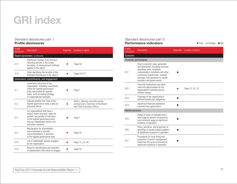#### Standard disclosures part 1: Profile disclosures

| Profile<br><b>Disclosure</b> | <b>Description</b>                                                                                                                                                                                    | Reported | Location in report                                                                                    |
|------------------------------|-------------------------------------------------------------------------------------------------------------------------------------------------------------------------------------------------------|----------|-------------------------------------------------------------------------------------------------------|
|                              | Report parameters (continued)                                                                                                                                                                         |          |                                                                                                       |
| 3.11                         | Significant changes from previous<br>reporting periods in the scope,<br>boundary, or measurement methods<br>applied in the report.                                                                    |          | Page 59                                                                                               |
| 3.12                         | Table identifying the location of the<br>Standard Disclosures in the report.                                                                                                                          |          | Pages 50-57                                                                                           |
|                              | Governance, commitments, and engagement                                                                                                                                                               |          |                                                                                                       |
| 4.1                          | Governance structure of the<br>organization, including committees<br>under the highest governance<br>body responsible for specific<br>tasks, such as setting strategy<br>or organizational oversight. |          | Page 7                                                                                                |
| 4.2                          | Indicate whether the Chair of the<br>highest governance body is also an<br>executive officer.                                                                                                         |          | Beth E. Mooney currently serves<br>as KeyCorp's Chairman of the Board<br>and Chief Executive Officer. |
| 4.3                          | For organizations that have a<br>unitary board structure, state the<br>number and gender of members<br>of the highest governance body<br>that are independent and/or non-<br>executive members.       |          | Page 7                                                                                                |
| 4.4                          | Mechanisms for shareholders<br>and employees to provide<br>recommendations or direction<br>to the highest governance body.                                                                            |          | Page 59                                                                                               |
| 4.14                         | List of stakeholder groups engaged<br>by the organization.                                                                                                                                            |          | Page 12, 23, 59                                                                                       |
| 4.15                         | Basis for identification and selection<br>of stakeholders with whom to engage.                                                                                                                        |          | Page 59                                                                                               |

#### Standard disclosures part 3: **Performance indicators and Cally Constant Constant Constant Constant Constant Constant Constant Constant Constant Constant Constant Constant Constant Constant Constant Constant Constant Constant Constant Constant Consta**

| Profile<br><b>Disclosure</b> | <b>Description</b>                                                                                                                                                                                                                              | Reported | Location in report |
|------------------------------|-------------------------------------------------------------------------------------------------------------------------------------------------------------------------------------------------------------------------------------------------|----------|--------------------|
| Economic                     |                                                                                                                                                                                                                                                 |          |                    |
| Economic performance         |                                                                                                                                                                                                                                                 |          |                    |
| EC <sub>1</sub>              | Direct economic value generated<br>and distributed, including revenues,<br>operating costs, employee<br>compensation, donations and other<br>community investments, retained<br>earnings, and payments to capital<br>providers and governments. |          |                    |
| EC <sub>2</sub>              | Financial implications and other<br>risks and opportunities for the<br>organization's activities due to<br>climate change.                                                                                                                      |          | Page 13, 22, 23    |
| EC <sub>3</sub>              | Coverage of the organization's<br>defined benefit plan obligations.                                                                                                                                                                             |          |                    |
| EC <sub>4</sub>              | Significant financial assistance<br>received from government.                                                                                                                                                                                   |          |                    |
| <b>Market presence</b>       |                                                                                                                                                                                                                                                 |          |                    |
| EC <sub>5</sub>              | Range of ratios of standard entry<br>level wage by gender compared to<br>local minimum wage at significant<br>locations of operation.                                                                                                           |          |                    |
| EC <sub>6</sub>              | Policy, practices, and proportion of<br>spending on locally-based suppliers<br>at significant locations of operation.                                                                                                                           |          |                    |
| EC <sub>7</sub>              | Procedures for local hiring and<br>proportion of senior management<br>hired from the local community at<br>significant locations of operation.                                                                                                  |          |                    |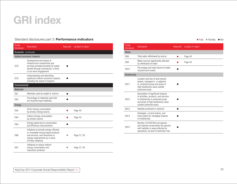#### Standard disclosures part 3: **Performance indicators and a standard Control Control of Fully Control Partially of Notice Article 1966**

| Profile<br><b>Disclosure</b> | <b>Description</b>                                                                                                                                                           | Reported | Location in report |
|------------------------------|------------------------------------------------------------------------------------------------------------------------------------------------------------------------------|----------|--------------------|
| Economic (continued)         |                                                                                                                                                                              |          |                    |
|                              | Indirect economic impacts                                                                                                                                                    |          |                    |
| EC <sub>8</sub>              | Development and impact of<br>infrastructure investments and<br>services provided primarily for public<br>benefit through commercial, in-kind,<br>or pro bono engagement.     |          |                    |
| EC <sub>9</sub>              | Understanding and describing<br>significant indirect economic impacts,<br>including the extent of impacts.                                                                   |          |                    |
| Environmental                |                                                                                                                                                                              |          |                    |
| <b>Materials</b>             |                                                                                                                                                                              |          |                    |
| EN <sub>1</sub>              | Materials used by weight or volume.                                                                                                                                          |          |                    |
| EN <sub>2</sub>              | Percentage of materials used that<br>are recycled input materials.                                                                                                           |          |                    |
| Energy                       |                                                                                                                                                                              |          |                    |
| EN <sub>3</sub>              | Direct energy consumption<br>by primary energy source.                                                                                                                       |          | Page 40            |
| EN4                          | Indirect energy consumption<br>by primary source.                                                                                                                            |          | Page 40            |
| EN <sub>5</sub>              | Energy saved due to conservation<br>and efficiency improvements.                                                                                                             |          |                    |
| EN <sub>6</sub>              | Initiatives to provide energy-efficient<br>or renewable energy based products<br>and services, and reductions in<br>energy requirements as a result<br>of these initiatives. |          | Page 37, 39        |
| EN7                          | Initiatives to reduce indirect<br>energy consumption and<br>reductions achieved.                                                                                             |          | Page 37, 39        |

Profile<br>Disclosure Description **Disclosure Description** Reported Location in report Water EN8 Total water withdrawal by source. <br>
Page 40 EN9 Water sources significantly affected water sources significantly arrected<br>by withdrawal of water. EN10 Percentage and total volume of water recycled and reused. Biodiversity EN11 Location and size of land owned, leased, managed in, or adjacent to, protected areas and areas of high biodiversity value outside protected areas.  $\bullet$ EN12 Description of significant impacts of activities, products, and services on biodiversity in protected areas and areas of high biodiversity value outside protected areas. l EN13 Habitats protected or restored. EN14 Strategies, current actions, and future plans for managing impacts on biodiversity.  $\bullet$ EN15 Number of IUCN Red List species and national conservation list species with habitats in areas affected by operations, by level of extinction risk.  $\bullet$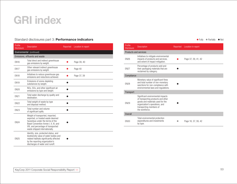#### Standard disclosures part 3: Performance indicators

| Profile<br><b>Disclosure</b> | <b>Description</b>                                                                                                                                                                                                           | Reported | Location in report |
|------------------------------|------------------------------------------------------------------------------------------------------------------------------------------------------------------------------------------------------------------------------|----------|--------------------|
|                              | Environmental (continued)                                                                                                                                                                                                    |          |                    |
|                              | Emissions, effluents and waste                                                                                                                                                                                               |          |                    |
| <b>EN16</b>                  | Total direct and indirect greenhouse<br>gas emissions by weight.                                                                                                                                                             |          | Page 39, 40        |
| <b>EN17</b>                  | Other relevant indirect greenhouse<br>gas emissions by weight.                                                                                                                                                               |          | Page 40            |
| <b>EN18</b>                  | Initiatives to reduce greenhouse gas<br>emissions and reductions achieved.                                                                                                                                                   |          | Page 37, 39        |
| <b>EN19</b>                  | Emissions of ozone-depleting<br>substances by weight.                                                                                                                                                                        |          |                    |
| <b>EN20</b>                  | NOx, SOx, and other significant air<br>emissions by type and weight.                                                                                                                                                         |          |                    |
| <b>EN21</b>                  | Total water discharge by quality and<br>destination.                                                                                                                                                                         |          |                    |
| <b>EN22</b>                  | Total weight of waste by type<br>and disposal method.                                                                                                                                                                        |          |                    |
| <b>EN23</b>                  | Total number and volume<br>of significant spills.                                                                                                                                                                            |          |                    |
| <b>EN24</b>                  | Weight of transported, imported,<br>exported, or treated waste deemed<br>hazardous under the terms of the<br>Basel Convention Annex I, II, III, and<br>VIII, and percentage of transported<br>waste shipped internationally. |          |                    |
| <b>EN25</b>                  | Identity, size, protected status, and<br>biodiversity value of water bodies and<br>related habitats significantly affected<br>by the reporting organization's<br>discharges of water and runoff.                             |          |                    |

 $\bullet$  Fully  $\bullet$  Partially  $\bullet$  Not

| Profile<br><b>Disclosure</b> | <b>Description</b>                                                                                                                                                                         | Reported | Location in report  |
|------------------------------|--------------------------------------------------------------------------------------------------------------------------------------------------------------------------------------------|----------|---------------------|
| Products and services        |                                                                                                                                                                                            |          |                     |
| <b>EN26</b>                  | Initiatives to mitigate environmental<br>impacts of products and services,<br>and extent of impact mitigation.                                                                             |          | Page 37, 39, 41, 42 |
| <b>EN27</b>                  | Percentage of products sold and<br>their packaging materials that are<br>reclaimed by category.                                                                                            |          |                     |
| Compliance                   |                                                                                                                                                                                            |          |                     |
| <b>EN28</b>                  | Monetary value of significant fines<br>and total number of non-monetary<br>sanctions for non-compliance with<br>environmental laws and regulations.                                        |          |                     |
| <b>Transport</b>             |                                                                                                                                                                                            |          |                     |
| <b>EN29</b>                  | Significant environmental impacts<br>of transporting products and other<br>goods and materials used for the<br>organization's operations, and<br>transporting members of<br>the workforce. |          |                     |
| <b>Overall</b>               |                                                                                                                                                                                            |          |                     |
| <b>EN30</b>                  | Total environmental protection<br>expenditures and investments<br>by type.                                                                                                                 |          | Page 18, 37, 39, 42 |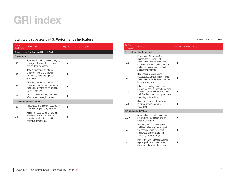#### Standard disclosures part 3: **Performance indicators** and **Equipment Containers** and **Containers** and **Containers** and **Containers** and **Containers** and **Containers** and **Containers** and **Containers** and **Containers** and

| Profile<br><b>Disclosure</b> | <b>Description</b>                                                                                                                       | Reported | Location in report |  |  |  |
|------------------------------|------------------------------------------------------------------------------------------------------------------------------------------|----------|--------------------|--|--|--|
|                              | Social: Labor Practices and Decent Work                                                                                                  |          |                    |  |  |  |
| Employment                   |                                                                                                                                          |          |                    |  |  |  |
| LA1                          | Total workforce by employment type,<br>employment contract, and region,<br>broken down by gender.                                        |          |                    |  |  |  |
| LA2                          | Total number and rate of new<br>employee hires and employee<br>turnover by age group, gender,<br>and region.                             |          |                    |  |  |  |
| LA <sub>3</sub>              | Benefits provided to full-time<br>employees that are not provided to<br>temporary or part-time employees,<br>by major operations.        |          |                    |  |  |  |
| LA15                         | Return to work and retention rates<br>after parental leave, by gender.                                                                   |          |                    |  |  |  |
|                              | Labor/management relations                                                                                                               |          |                    |  |  |  |
| LA4                          | Percentage of employees covered by<br>collective bargaining agreements.                                                                  |          |                    |  |  |  |
| LA5                          | Minimum notice period(s) regarding<br>significant operational changes,<br>including whether it is specified in<br>collective agreements. |          |                    |  |  |  |

| Profile<br><b>Disclosure</b> | <b>Description</b>                                                                                                                                                                               | Reported | Location in report |
|------------------------------|--------------------------------------------------------------------------------------------------------------------------------------------------------------------------------------------------|----------|--------------------|
|                              | Occupational health and safety                                                                                                                                                                   |          |                    |
| LA6                          | Percentage of total workforce<br>represented in formal joint<br>management-worker health and<br>safety committees that help monitor<br>and advise on occupational health<br>and safety programs. |          |                    |
| LA7                          | Rates of injury, occupational<br>diseases, lost days, and absenteeism,<br>and number of work-related fatalities<br>by region and by gender.                                                      |          |                    |
| LA8                          | Education, training, counseling,<br>prevention, and risk-control programs<br>in place to assist workforce members,<br>their families, or community members<br>regarding serious diseases.        |          |                    |
| LA <sub>9</sub>              | Health and safety topics covered<br>in formal agreements with<br>trade unions.                                                                                                                   |          |                    |
| Training and education       |                                                                                                                                                                                                  |          |                    |
| <b>LA10</b>                  | Average hours of training per year<br>per employee by gender, and by<br>employee category.                                                                                                       |          |                    |
| LA11                         | Programs for skills management<br>and lifelong learning that support<br>the continued employability of<br>employees and assist them in<br>managing career endings.                               |          |                    |
| LA12                         | Percentage of employees receiving<br>regular performance and career<br>development reviews, by gender.                                                                                           |          |                    |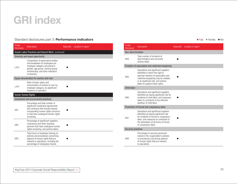#### Standard disclosures part 3: **Performance indicators** and **Exercise 2018** and **Containers** and **Containers** and **Containers** and **Containers** and **Containers** and **Containers** and **Containers** and **Containers** and **Contain**

| Profile<br><b>Disclosure</b> | <b>Description</b>                                                                                                                                                                                     | Reported | Location in report |
|------------------------------|--------------------------------------------------------------------------------------------------------------------------------------------------------------------------------------------------------|----------|--------------------|
|                              | Social: Labor Practices and Decent Work (continued)                                                                                                                                                    |          |                    |
|                              | Diversity and equal opportunity                                                                                                                                                                        |          |                    |
| LA13                         | Composition of governance bodies<br>and breakdown of employees per<br>employee category according to<br>gender, age group, minority group<br>membership, and other indicators<br>of diversity.         |          |                    |
|                              | Equal remuneration for women and men                                                                                                                                                                   |          |                    |
| LA14                         | Ratio of basic salary and<br>remuneration of women to men by<br>employee category, by significant<br>locations of operation.                                                                           |          |                    |
| Social: Human Rights         |                                                                                                                                                                                                        |          |                    |
|                              | Investment and procurement practices                                                                                                                                                                   |          |                    |
| HR <sub>1</sub>              | Percentage and total number of<br>significant investment agreements<br>and contracts that include clauses<br>incorporating human rights concerns,<br>or that have undergone human rights<br>screening. |          |                    |
| HR <sub>2</sub>              | Percentage of significant suppliers,<br>contractors and other business<br>partners that have undergone human<br>rights screening, and actions taken.                                                   |          |                    |
| HR <sub>3</sub>              | Total hours of employee training on<br>policies and procedures concerning<br>aspects of human rights that are<br>relevant to operations, including the<br>percentage of employees trained.             |          |                    |

| Profile<br><b>Disclosure</b> | <b>Description</b>                                                                                                                                                                                                                | Reported | Location in report |  |
|------------------------------|-----------------------------------------------------------------------------------------------------------------------------------------------------------------------------------------------------------------------------------|----------|--------------------|--|
| Non-discrimination           |                                                                                                                                                                                                                                   |          |                    |  |
| HR4                          | Total number of incidents of<br>discrimination and corrective<br>actions taken.                                                                                                                                                   |          |                    |  |
|                              | Freedom of association and collective bargaining                                                                                                                                                                                  |          |                    |  |
| HR <sub>5</sub>              | Operations and significant suppliers<br>identified in which the right to<br>exercise freedom of association and<br>collective bargaining may be violated<br>or at significant risk, and actions<br>taken to support these rights. |          |                    |  |
| Child labor                  |                                                                                                                                                                                                                                   |          |                    |  |
| HR <sub>6</sub>              | Operations and significant suppliers<br>identified as having significant risk for<br>incidents of child labor, and measures<br>taken to contribute to the effective<br>abolition of child labor.                                  |          |                    |  |
|                              | Prevention of forced and compulsory labor                                                                                                                                                                                         |          |                    |  |
| HR7                          | Operations and significant suppliers<br>identified as having significant risk<br>for incidents of forced or compulsory<br>labor, and measures to contribute to<br>the elimination of all forms of forced<br>or compulsory labor.  |          |                    |  |
| <b>Security practices</b>    |                                                                                                                                                                                                                                   |          |                    |  |
| HR <sub>8</sub>              | Percentage of security personnel<br>trained in the organization's policies<br>or procedures concerning aspects<br>of human rights that are relevant<br>to operations.                                                             |          |                    |  |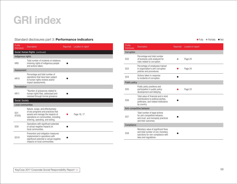#### Standard disclosures part 3: **Performance indicators** and **Exercise 2018** and **Containers** and **Containers** and **Containers** and **Containers** and **Containers** and **Containers** and **Containers** and **Containers** and **Contain**

| Profile<br><b>Disclosure</b> | <b>Description</b>                                                                                                                                                                      | Reported | Location in report |
|------------------------------|-----------------------------------------------------------------------------------------------------------------------------------------------------------------------------------------|----------|--------------------|
|                              | Social: Human Rights (continued)                                                                                                                                                        |          |                    |
| Indigenous rights            |                                                                                                                                                                                         |          |                    |
| HR <sub>9</sub>              | Total number of incidents of violations<br>involving rights of indigenous people<br>and actions taken.                                                                                  |          |                    |
| Assessment                   |                                                                                                                                                                                         |          |                    |
| <b>HR10</b>                  | Percentage and total number of<br>operations that have been subject<br>to human rights reviews and/or<br>impact assessments.                                                            |          |                    |
| Remediation                  |                                                                                                                                                                                         |          |                    |
| <b>HR11</b>                  | "Number of grievances related to<br>human rights filed, addressed and<br>resolved through formal grievance                                                                              |          |                    |
| Social: Society              |                                                                                                                                                                                         |          |                    |
| Local communities            |                                                                                                                                                                                         |          |                    |
| S <sub>01</sub><br>(FSSS)    | Nature, scope, and effectiveness<br>of any programs and practices that<br>assess and manage the impacts of<br>operations on communities, including<br>entering, operating, and exiting. |          | Page 16, 17        |
| S <sub>09</sub>              | Operations with significant potential<br>or actual negative impacts on<br>local communities.                                                                                            |          |                    |
| S <sub>0</sub> 10            | Prevention and mitigation measures<br>implemented in operations with<br>significant potential or actual negative<br>impacts on local communities.                                       |          |                    |

| Profile<br><b>Disclosure</b> | <b>Description</b>                                                                                                                    | Reported | Location in report |  |  |
|------------------------------|---------------------------------------------------------------------------------------------------------------------------------------|----------|--------------------|--|--|
| Corruption                   |                                                                                                                                       |          |                    |  |  |
| SO2                          | Percentage and total number<br>of business units analyzed for<br>risks related to corruption.                                         |          | Page 24            |  |  |
| SO3                          | Percentage of employees trained<br>in organization's anti-corruption<br>policies and procedures.                                      |          | Page 24            |  |  |
| S04                          | Actions taken in response<br>to incidents of corruption.                                                                              |          |                    |  |  |
| <b>Public policy</b>         |                                                                                                                                       |          |                    |  |  |
| S05                          | Public policy positions and<br>participation in public policy<br>development and lobbying.                                            |          | Page 23            |  |  |
| S06                          | Total value of financial and in-kind<br>contributions to political parties,<br>politicians, and related institutions<br>by country.   |          |                    |  |  |
| Anti-competitive behavior    |                                                                                                                                       |          |                    |  |  |
| S07                          | Total number of legal actions<br>for anti-competitive behavior,<br>anti-trust, and monopoly practices<br>and their outcomes.          |          |                    |  |  |
| Compliance                   |                                                                                                                                       |          |                    |  |  |
| S08                          | Monetary value of significant fines<br>and total number of non-monetary<br>sanctions for non-compliance with<br>laws and regulations. |          |                    |  |  |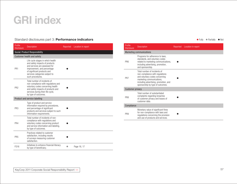#### Standard disclosures part 3: Performance indicators

| Profile<br><b>Disclosure</b>          | <b>Description</b>                                                                                                                                                                                                       | Reported | Location in report |  |  |  |
|---------------------------------------|--------------------------------------------------------------------------------------------------------------------------------------------------------------------------------------------------------------------------|----------|--------------------|--|--|--|
| <b>Social: Product Responsibility</b> |                                                                                                                                                                                                                          |          |                    |  |  |  |
| <b>Customer health and safety</b>     |                                                                                                                                                                                                                          |          |                    |  |  |  |
| PR <sub>1</sub>                       | Life cycle stages in which health<br>and safety impacts of products<br>and services are assessed for<br>improvement, and percentage<br>of significant products and<br>services categories subject to<br>such procedures. |          |                    |  |  |  |
| PR <sub>2</sub>                       | Total number of incidents of<br>non-compliance with regulations and<br>voluntary codes concerning health<br>and safety impacts of products and<br>services during their life cycle,<br>by type of outcomes.              |          |                    |  |  |  |
|                                       | Product and service labelling                                                                                                                                                                                            |          |                    |  |  |  |
| PR <sub>3</sub>                       | Type of product and service<br>information required by procedures,<br>and percentage of significant<br>products and services subject to such<br>information requirements.                                                |          |                    |  |  |  |
| PR4                                   | Total number of incidents of non-<br>compliance with regulations and<br>voluntary codes concerning product<br>and service information and labeling,<br>by type of outcomes.                                              |          |                    |  |  |  |
| PR <sub>5</sub>                       | Practices related to customer<br>satisfaction, including results<br>of surveys measuring customer<br>satisfaction.                                                                                                       |          |                    |  |  |  |
| <b>FS16</b>                           | Initiatives to enhance financial literacy<br>by type of beneficiary.                                                                                                                                                     |          | Page 16, 17        |  |  |  |

| Fully | Partially | Not |
|-------|-----------|-----|
|       |           |     |

| Profile<br><b>Disclosure</b>    | <b>Description</b>                                                                                                                                                                                          | Reported | Location in report |  |  |
|---------------------------------|-------------------------------------------------------------------------------------------------------------------------------------------------------------------------------------------------------------|----------|--------------------|--|--|
| <b>Marketing communications</b> |                                                                                                                                                                                                             |          |                    |  |  |
| PR <sub>6</sub>                 | Programs for adherence to laws,<br>standards, and voluntary codes<br>related to marketing communications,<br>including advertising, promotion,<br>and sponsorship.                                          |          |                    |  |  |
| PR <sub>7</sub>                 | Total number of incidents of<br>non-compliance with regulations<br>and voluntary codes concerning<br>marketing communications,<br>including advertising, promotion, and<br>sponsorship by type of outcomes. |          |                    |  |  |
| <b>Customer privacy</b>         |                                                                                                                                                                                                             |          |                    |  |  |
| PR <sub>8</sub>                 | Total number of substantiated<br>complaints regarding breaches<br>of customer privacy and losses of<br>customer data.                                                                                       |          |                    |  |  |
| Compliance                      |                                                                                                                                                                                                             |          |                    |  |  |
| PR <sub>9</sub>                 | Monetary value of significant fines<br>for non-compliance with laws and<br>regulations concerning the provision<br>and use of products and services.                                                        |          |                    |  |  |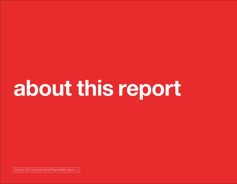# about this report

KeyCorp 2011 Corporate Social Responsibility Report <<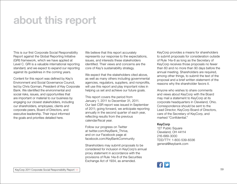### about this report

This is our first Corporate Social Responsibility Report against the Global Reporting Initiative (GRI) framework, which we have applied at Level C. GRI is a valuable international reporting standard, and we expect to expand our reporting against its guidelines in the coming years.

Content for this report was defined by Key's Environment and Social Governance Council, led by Chris Gorman, President of Key Corporate Bank. We identified the environmental and social risks, issues, and opportunities that are important or material to our business by engaging our closest stakeholders, including our shareholders, employees, clients and corporate peers, Board of Directors, and executive leadership. Their input informed the goals and priorities detailed here.

We believe that this report accurately represents our response to the expectations, issues, and interests these stakeholders identified. Their views and concerns are the core of Key's sustainability strategy.

We expect that the stakeholders cited above, as well as many others including governmental agencies, regulators, suppliers, and nonprofits, will use this report and play important roles in helping us set and achieve our future goals.

This report covers the period from January 1, 2011 to December 31, 2011. Our last CSR report was issued in September of 2011; going forward, we anticipate reporting annually in the second quarter of each year, reflecting results from the previous calendar/fiscal year.

Follow our progress on Twitter at twitter.com/KeyBank\_Thrive, and on our Facebook page at facebook.com/KeyBankCommunity

Shareholders may submit proposals to be considered for inclusion in KeyCorp's annual proxy statement in accordance with the provisions of Rule 14a-8 of the Securities Exchange Act of 1934, as amended.

KeyCorp provides a means for shareholders to submit proposals for consideration outside of Rule 14a-8 as long as the Secretary of KeyCorp receives those proposals no fewer than 60 and no more than 90 days before the annual meeting. Shareholders are required, among other things, to submit the text of the proposal and a brief written statement of the reasons why the shareholder favors it.

Anyone who wishes to share comments and views about KeyCorp with the Board may mail a statement to KeyCorp at its corporate headquarters in Cleveland, Ohio. Correspondence should be sent to the Lead Director, KeyCorp Board of Directors, care of the Secretary of KeyCorp, and marked "Confidential."

#### KeyCorp

127 Public Square Cleveland, OH 44114 216-689-3000 TDD/TTY: 1-800-539-8336 general@keybank.com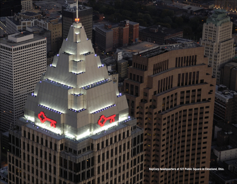KeyCorp headquarters at 127 Public Square in Cleveland, Ohio.

m. m **MAG** 

m

÷

in t 198

 $\mathbf{z}$ 

**SP** 

**State** 

**MARK AND AND AND AND AND AND A MAN BRITAIN** 

> **Part**

> > ٠

**PARTIES Part** 

41

æ and i a F  $\overline{\phantom{a}}$  $\overline{1}$ a P  $\blacksquare$ 

ь

333

state.